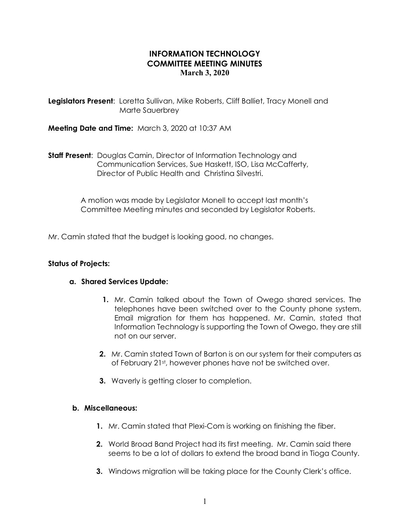# INFORMATION TECHNOLOGY COMMITTEE MEETING MINUTES March 3, 2020

Legislators Present: Loretta Sullivan, Mike Roberts, Cliff Balliet, Tracy Monell and Marte Sauerbrey

Meeting Date and Time: March 3, 2020 at 10:37 AM

**Staff Present:** Douglas Camin, Director of Information Technology and Communication Services, Sue Haskett, ISO, Lisa McCafferty, Director of Public Health and Christina Silvestri.

> A motion was made by Legislator Monell to accept last month's Committee Meeting minutes and seconded by Legislator Roberts.

Mr. Camin stated that the budget is looking good, no changes.

### Status of Projects:

### a. Shared Services Update:

- 1. Mr. Camin talked about the Town of Owego shared services. The telephones have been switched over to the County phone system. Email migration for them has happened. Mr. Camin, stated that Information Technology is supporting the Town of Owego, they are still not on our server.
- 2. Mr. Camin stated Town of Barton is on our system for their computers as of February 21st, however phones have not be switched over.
- **3.** Waverly is getting closer to completion.

#### b. Miscellaneous:

- 1. Mr. Camin stated that Plexi-Com is working on finishing the fiber.
- 2. World Broad Band Project had its first meeting. Mr. Camin said there seems to be a lot of dollars to extend the broad band in Tioga County.
- **3.** Windows migration will be taking place for the County Clerk's office.